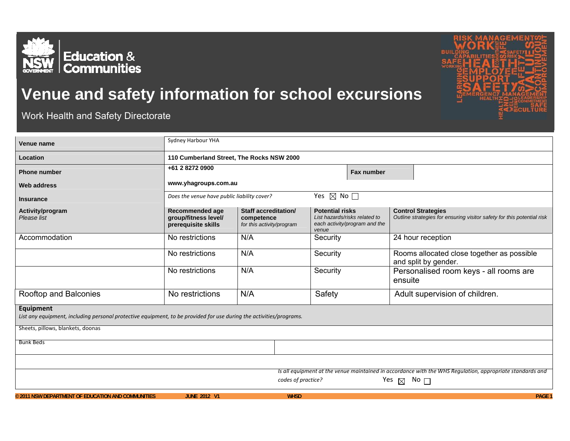

## **Venue and safety information for school excursions**

Work Health and Safety Directorate

| Venue name                                                                                                          | Sydney Harbour YHA                                                                                                                                              |                                                                 |                                                                                                   |                                                                                                     |  |  |
|---------------------------------------------------------------------------------------------------------------------|-----------------------------------------------------------------------------------------------------------------------------------------------------------------|-----------------------------------------------------------------|---------------------------------------------------------------------------------------------------|-----------------------------------------------------------------------------------------------------|--|--|
| Location                                                                                                            | 110 Cumberland Street, The Rocks NSW 2000                                                                                                                       |                                                                 |                                                                                                   |                                                                                                     |  |  |
| <b>Phone number</b>                                                                                                 | +61 2 8272 0900                                                                                                                                                 |                                                                 | Fax number                                                                                        |                                                                                                     |  |  |
| <b>Web address</b>                                                                                                  | www.yhagroups.com.au                                                                                                                                            |                                                                 |                                                                                                   |                                                                                                     |  |  |
| <b>Insurance</b>                                                                                                    | Does the venue have public liability cover?                                                                                                                     |                                                                 | Yes $\boxtimes$ No $\square$                                                                      |                                                                                                     |  |  |
| Activity/program<br>Please list                                                                                     | Recommended age<br>group/fitness level/<br>prerequisite skills                                                                                                  | Staff accreditation/<br>competence<br>for this activity/program | <b>Potential risks</b><br>List hazards/risks related to<br>each activity/program and the<br>venue | <b>Control Strategies</b><br>Outline strategies for ensuring visitor safety for this potential risk |  |  |
| Accommodation                                                                                                       | No restrictions                                                                                                                                                 | N/A                                                             | Security                                                                                          | 24 hour reception                                                                                   |  |  |
|                                                                                                                     | No restrictions                                                                                                                                                 | N/A                                                             | Security                                                                                          | Rooms allocated close together as possible<br>and split by gender.                                  |  |  |
|                                                                                                                     | No restrictions                                                                                                                                                 | N/A                                                             | Security                                                                                          | Personalised room keys - all rooms are<br>ensuite                                                   |  |  |
| Rooftop and Balconies                                                                                               | No restrictions                                                                                                                                                 | N/A                                                             | Safety                                                                                            | Adult supervision of children.                                                                      |  |  |
| <b>Equipment</b>                                                                                                    |                                                                                                                                                                 |                                                                 |                                                                                                   |                                                                                                     |  |  |
| List any equipment, including personal protective equipment, to be provided for use during the activities/programs. |                                                                                                                                                                 |                                                                 |                                                                                                   |                                                                                                     |  |  |
| Sheets, pillows, blankets, doonas                                                                                   |                                                                                                                                                                 |                                                                 |                                                                                                   |                                                                                                     |  |  |
| <b>Bunk Beds</b>                                                                                                    |                                                                                                                                                                 |                                                                 |                                                                                                   |                                                                                                     |  |  |
|                                                                                                                     |                                                                                                                                                                 |                                                                 |                                                                                                   |                                                                                                     |  |  |
|                                                                                                                     | Is all equipment at the venue maintained in accordance with the WHS Regulation, appropriate standards and<br>No $\Box$<br>codes of practice?<br>Yes $\boxtimes$ |                                                                 |                                                                                                   |                                                                                                     |  |  |
| © 2011 NSW DEPARTMENT OF EDUCATION AND COMMUNITIES                                                                  | <b>JUNE 2012 V1</b>                                                                                                                                             | <b>WHSD</b>                                                     |                                                                                                   | <b>PAGE 1</b>                                                                                       |  |  |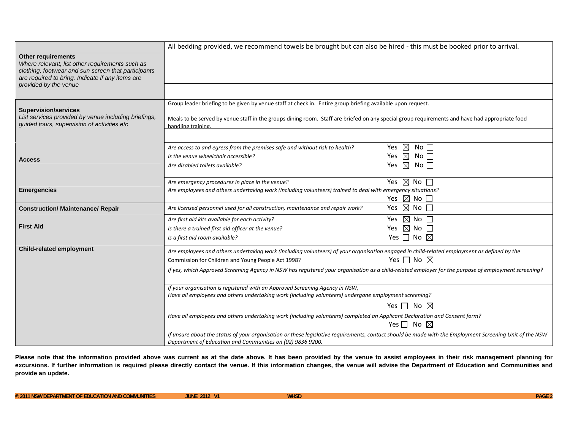| Other requirements<br>Where relevant, list other requirements such as                                                              | All bedding provided, we recommend towels be brought but can also be hired - this must be booked prior to arrival.                                                                                                    |                                                              |  |  |  |
|------------------------------------------------------------------------------------------------------------------------------------|-----------------------------------------------------------------------------------------------------------------------------------------------------------------------------------------------------------------------|--------------------------------------------------------------|--|--|--|
| clothing, footwear and sun screen that participants<br>are required to bring. Indicate if any items are                            |                                                                                                                                                                                                                       |                                                              |  |  |  |
| provided by the venue                                                                                                              |                                                                                                                                                                                                                       |                                                              |  |  |  |
| <b>Supervision/services</b><br>List services provided by venue including briefings,<br>guided tours, supervision of activities etc | Group leader briefing to be given by venue staff at check in. Entire group briefing available upon request.                                                                                                           |                                                              |  |  |  |
|                                                                                                                                    | Meals to be served by venue staff in the groups dining room. Staff are briefed on any special group requirements and have had appropriate food<br>handling training.                                                  |                                                              |  |  |  |
|                                                                                                                                    | Are access to and egress from the premises safe and without risk to health?                                                                                                                                           | Yes $\boxtimes$<br>No                                        |  |  |  |
| Access                                                                                                                             | Is the venue wheelchair accessible?                                                                                                                                                                                   | Yes $\boxtimes$ No $\square$                                 |  |  |  |
|                                                                                                                                    | Are disabled toilets available?                                                                                                                                                                                       | Yes $\boxtimes$ No $\square$                                 |  |  |  |
|                                                                                                                                    | Are emergency procedures in place in the venue?                                                                                                                                                                       | Yes $\boxtimes$ No $\square$                                 |  |  |  |
| <b>Emergencies</b>                                                                                                                 | Are employees and others undertaking work (including volunteers) trained to deal with emergency situations?                                                                                                           |                                                              |  |  |  |
| <b>Construction/ Maintenance/ Repair</b>                                                                                           |                                                                                                                                                                                                                       | Yes $\boxtimes$ No $\square$<br>Yes $\boxtimes$ No $\square$ |  |  |  |
|                                                                                                                                    | Are licensed personnel used for all construction, maintenance and repair work?                                                                                                                                        |                                                              |  |  |  |
| <b>First Aid</b>                                                                                                                   | Are first aid kits available for each activity?                                                                                                                                                                       | Yes $\boxtimes$ No $\square$                                 |  |  |  |
|                                                                                                                                    | Is there a trained first aid officer at the venue?                                                                                                                                                                    | Yes $\boxtimes$ No $\square$                                 |  |  |  |
|                                                                                                                                    | Is a first aid room available?                                                                                                                                                                                        | Yes $\Box$ No $\boxtimes$                                    |  |  |  |
| <b>Child-related employment</b>                                                                                                    | Are employees and others undertaking work (including volunteers) of your organisation engaged in child-related employment as defined by the                                                                           |                                                              |  |  |  |
|                                                                                                                                    | Commission for Children and Young People Act 1998?                                                                                                                                                                    | Yes $\Box$ No $\boxtimes$                                    |  |  |  |
|                                                                                                                                    | If yes, which Approved Screening Agency in NSW has registered your organisation as a child-related employer for the purpose of employment screening?                                                                  |                                                              |  |  |  |
|                                                                                                                                    | If your organisation is registered with an Approved Screening Agency in NSW,<br>Have all employees and others undertaking work (including volunteers) undergone employment screening?                                 |                                                              |  |  |  |
|                                                                                                                                    |                                                                                                                                                                                                                       | Yes $\Box$ No $\boxtimes$                                    |  |  |  |
|                                                                                                                                    | Have all employees and others undertaking work (including volunteers) completed an Applicant Declaration and Consent form?<br>Yes $\Box$ No $\boxtimes$                                                               |                                                              |  |  |  |
|                                                                                                                                    |                                                                                                                                                                                                                       |                                                              |  |  |  |
|                                                                                                                                    | If unsure about the status of your organisation or these legislative requirements, contact should be made with the Employment Screening Unit of the NSW<br>Department of Education and Communities on (02) 9836 9200. |                                                              |  |  |  |

Please note that the information provided above was current as at the date above. It has been provided by the venue to assist employees in their risk management planning for excursions. If further information is required please directly contact the venue. If this information changes, the venue will advise the Department of Education and Communities and **provide an update.**